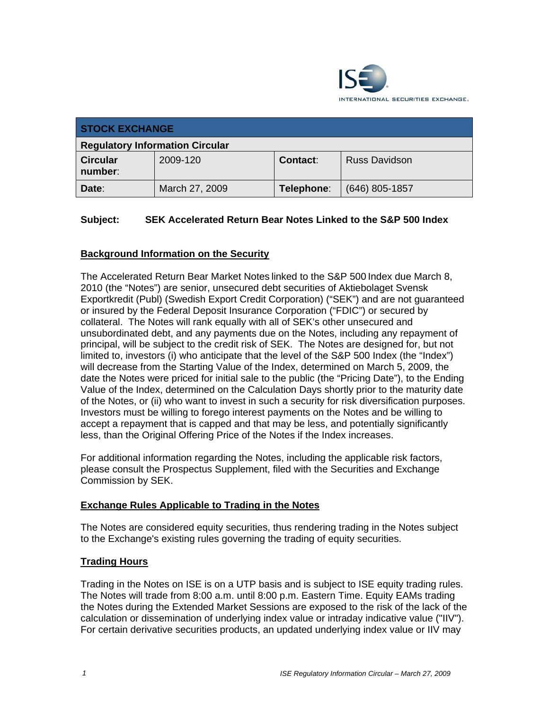

| <b>STOCK EXCHANGE</b>                  |                |            |                      |
|----------------------------------------|----------------|------------|----------------------|
| <b>Regulatory Information Circular</b> |                |            |                      |
| <b>Circular</b><br>number:             | 2009-120       | Contact:   | <b>Russ Davidson</b> |
| Date:                                  | March 27, 2009 | Telephone: | $(646)$ 805-1857     |

## **Subject: SEK Accelerated Return Bear Notes Linked to the S&P 500 Index**

## **Background Information on the Security**

The Accelerated Return Bear Market Notes linked to the S&P 500 Index due March 8, 2010 (the "Notes") are senior, unsecured debt securities of Aktiebolaget Svensk Exportkredit (Publ) (Swedish Export Credit Corporation) ("SEK") and are not guaranteed or insured by the Federal Deposit Insurance Corporation ("FDIC") or secured by collateral. The Notes will rank equally with all of SEK's other unsecured and unsubordinated debt, and any payments due on the Notes, including any repayment of principal, will be subject to the credit risk of SEK. The Notes are designed for, but not limited to, investors (i) who anticipate that the level of the S&P 500 Index (the "Index") will decrease from the Starting Value of the Index, determined on March 5, 2009, the date the Notes were priced for initial sale to the public (the "Pricing Date"), to the Ending Value of the Index, determined on the Calculation Days shortly prior to the maturity date of the Notes, or (ii) who want to invest in such a security for risk diversification purposes. Investors must be willing to forego interest payments on the Notes and be willing to accept a repayment that is capped and that may be less, and potentially significantly less, than the Original Offering Price of the Notes if the Index increases.

For additional information regarding the Notes, including the applicable risk factors, please consult the Prospectus Supplement, filed with the Securities and Exchange Commission by SEK.

#### **Exchange Rules Applicable to Trading in the Notes**

The Notes are considered equity securities, thus rendering trading in the Notes subject to the Exchange's existing rules governing the trading of equity securities.

#### **Trading Hours**

Trading in the Notes on ISE is on a UTP basis and is subject to ISE equity trading rules. The Notes will trade from 8:00 a.m. until 8:00 p.m. Eastern Time. Equity EAMs trading the Notes during the Extended Market Sessions are exposed to the risk of the lack of the calculation or dissemination of underlying index value or intraday indicative value ("IIV"). For certain derivative securities products, an updated underlying index value or IIV may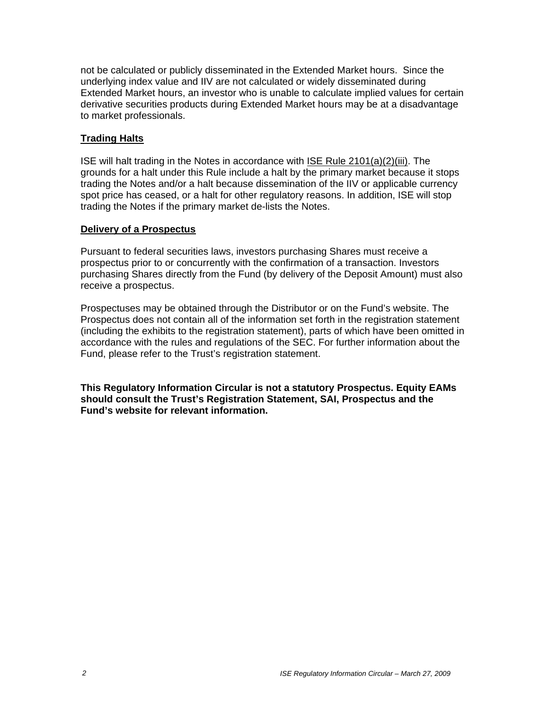not be calculated or publicly disseminated in the Extended Market hours. Since the underlying index value and IIV are not calculated or widely disseminated during Extended Market hours, an investor who is unable to calculate implied values for certain derivative securities products during Extended Market hours may be at a disadvantage to market professionals.

#### **Trading Halts**

ISE will halt trading in the Notes in accordance with ISE Rule 2101(a)(2)(iii). The grounds for a halt under this Rule include a halt by the primary market because it stops trading the Notes and/or a halt because dissemination of the IIV or applicable currency spot price has ceased, or a halt for other regulatory reasons. In addition, ISE will stop trading the Notes if the primary market de-lists the Notes.

#### **Delivery of a Prospectus**

Pursuant to federal securities laws, investors purchasing Shares must receive a prospectus prior to or concurrently with the confirmation of a transaction. Investors purchasing Shares directly from the Fund (by delivery of the Deposit Amount) must also receive a prospectus.

Prospectuses may be obtained through the Distributor or on the Fund's website. The Prospectus does not contain all of the information set forth in the registration statement (including the exhibits to the registration statement), parts of which have been omitted in accordance with the rules and regulations of the SEC. For further information about the Fund, please refer to the Trust's registration statement.

**This Regulatory Information Circular is not a statutory Prospectus. Equity EAMs should consult the Trust's Registration Statement, SAI, Prospectus and the Fund's website for relevant information.**